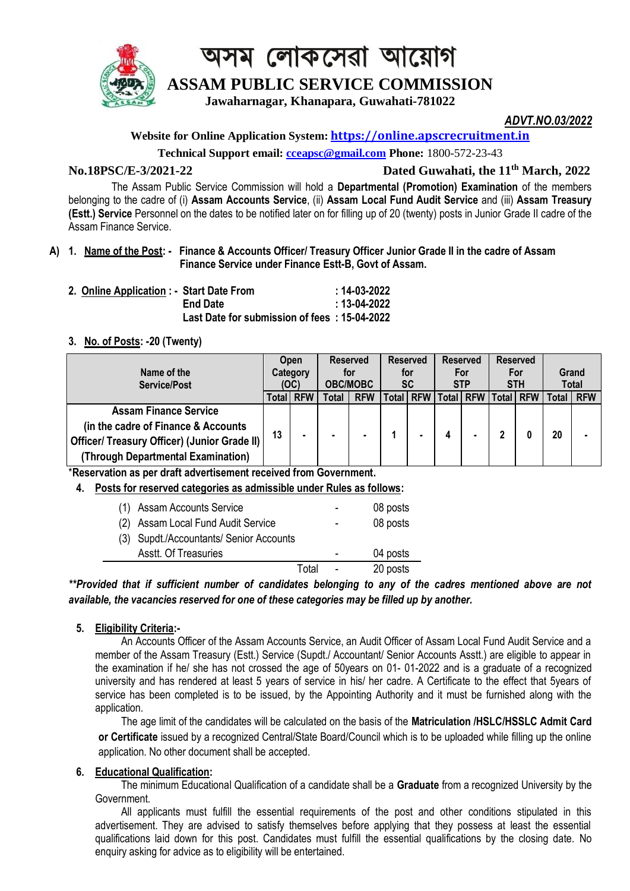

# অসম লোকসেৱা আয়োগ

### **ASSAM PUBLIC SERVICE COMMISSION**

**Jawaharnagar, Khanapara, Guwahati-781022**

*ADVT.NO.03/2022*

#### **Website for Online Application System: [https://online.apscrecruitment.in](https://online.apscrecruitment.in/)**

**Technical Support email: [cceapsc@gmail.com](mailto:cceapsc@gmail.com) Phone:** 1800-572-23-43

#### **No.18PSC/E-3/2021-22 Dated Guwahati, the 11th March, 2022**

The Assam Public Service Commission will hold a **Departmental (Promotion) Examination** of the members belonging to the cadre of (i) **Assam Accounts Service**, (ii) **Assam Local Fund Audit Service** and (iii) **Assam Treasury (Estt.) Service** Personnel on the dates to be notified later on for filling up of 20 (twenty) posts in Junior Grade II cadre of the Assam Finance Service.

#### **A) 1. Name of the Post: - Finance & Accounts Officer/ Treasury Officer Junior Grade II in the cadre of Assam Finance Service under Finance Estt-B, Govt of Assam.**

| 2. Online Application : - Start Date From |                                              | :14-03-2022 |
|-------------------------------------------|----------------------------------------------|-------------|
|                                           | <b>End Date</b>                              | :13-04-2022 |
|                                           | Last Date for submission of fees: 15-04-2022 |             |

#### **3. No. of Posts: -20 (Twenty)**

| Name of the<br><b>Service/Post</b>                  |    | <b>Reserved</b><br><b>Reserved</b><br><b>Reserved</b><br><b>Open</b><br>Category<br>for<br>for<br>For<br><b>SC</b><br><b>OBC/MOBC</b><br><b>STP</b><br>(OC) |       |            | <b>Reserved</b><br>For<br><b>STH</b> |  | Grand<br><b>Total</b>     |  |  |       |            |
|-----------------------------------------------------|----|-------------------------------------------------------------------------------------------------------------------------------------------------------------|-------|------------|--------------------------------------|--|---------------------------|--|--|-------|------------|
|                                                     |    | Total RFW                                                                                                                                                   | Total | <b>RFW</b> | Total   RFW                          |  | Total   RFW   Total   RFW |  |  | Total | <b>RFW</b> |
| <b>Assam Finance Service</b>                        |    |                                                                                                                                                             |       |            |                                      |  |                           |  |  |       |            |
| (in the cadre of Finance & Accounts)                | 13 | $\blacksquare$                                                                                                                                              |       |            |                                      |  |                           |  |  |       |            |
| <b>Officer/ Treasury Officer) (Junior Grade II)</b> |    |                                                                                                                                                             |       |            |                                      |  |                           |  |  |       | 20         |
| (Through Departmental Examination)                  |    |                                                                                                                                                             |       |            |                                      |  |                           |  |  |       |            |

\***Reservation as per draft advertisement received from Government.**

 **4. Posts for reserved categories as admissible under Rules as follows:**

| (1) Assam Accounts Service              |       | -                        | 08 posts |
|-----------------------------------------|-------|--------------------------|----------|
| (2) Assam Local Fund Audit Service      |       | $\overline{\phantom{0}}$ | 08 posts |
| (3) Supdt./Accountants/ Senior Accounts |       |                          |          |
| <b>Asstt. Of Treasuries</b>             |       | $\overline{\phantom{a}}$ | 04 posts |
|                                         | Total |                          | 20 posts |

*\*\*Provided that if sufficient number of candidates belonging to any of the cadres mentioned above are not available, the vacancies reserved for one of these categories may be filled up by another.*

#### **5. Eligibility Criteria:-**

An Accounts Officer of the Assam Accounts Service, an Audit Officer of Assam Local Fund Audit Service and a member of the Assam Treasury (Estt.) Service (Supdt./ Accountant/ Senior Accounts Asstt.) are eligible to appear in the examination if he/ she has not crossed the age of 50years on 01- 01-2022 and is a graduate of a recognized university and has rendered at least 5 years of service in his/ her cadre. A Certificate to the effect that 5years of service has been completed is to be issued, by the Appointing Authority and it must be furnished along with the application.

The age limit of the candidates will be calculated on the basis of the **Matriculation /HSLC/HSSLC Admit Card or Certificate** issued by a recognized Central/State Board/Council which is to be uploaded while filling up the online application. No other document shall be accepted.

#### **6. Educational Qualification:**

The minimum Educational Qualification of a candidate shall be a **Graduate** from a recognized University by the Government.

All applicants must fulfill the essential requirements of the post and other conditions stipulated in this advertisement. They are advised to satisfy themselves before applying that they possess at least the essential qualifications laid down for this post. Candidates must fulfill the essential qualifications by the closing date. No enquiry asking for advice as to eligibility will be entertained.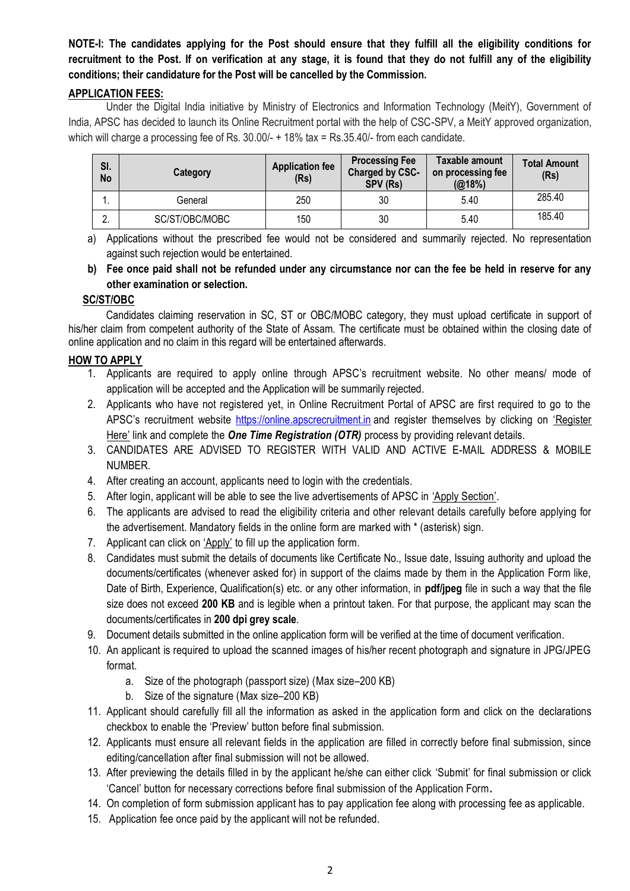#### **NOTE-I: The candidates applying for the Post should ensure that they fulfill all the eligibility conditions for recruitment to the Post. If on verification at any stage, it is found that they do not fulfill any of the eligibility conditions; their candidature for the Post will be cancelled by the Commission.**

#### **APPLICATION FEES:**

Under the Digital India initiative by Ministry of Electronics and Information Technology (MeitY), Government of India, APSC has decided to launch its Online Recruitment portal with the help of CSC-SPV, a MeitY approved organization, which will charge a processing fee of Rs. 30.00/- + 18% tax = Rs.35.40/- from each candidate.

| SI.<br>No     | <b>Category</b> | <b>Application fee</b><br>(Rs) | <b>Processing Fee</b><br>Charged by CSC-<br>SPV (Rs) | Taxable amount<br>on processing fee<br>(Q(18%) | <b>Total Amount</b><br>(Rs) |
|---------------|-----------------|--------------------------------|------------------------------------------------------|------------------------------------------------|-----------------------------|
| . .           | General         | 250                            | 30                                                   | 5.40                                           | 285.40                      |
| ົ<br><u>.</u> | SC/ST/OBC/MOBC  | 150                            | 30                                                   | 5.40                                           | 185.40                      |

a) Applications without the prescribed fee would not be considered and summarily rejected. No representation against such rejection would be entertained.

**b) Fee once paid shall not be refunded under any circumstance nor can the fee be held in reserve for any other examination or selection.**

#### **SC/ST/OBC**

Candidates claiming reservation in SC, ST or OBC/MOBC category, they must upload certificate in support of his/her claim from competent authority of the State of Assam. The certificate must be obtained within the closing date of online application and no claim in this regard will be entertained afterwards.

#### **HOW TO APPLY**

- 1. Applicants are required to apply online through APSC's recruitment website. No other means/ mode of application will be accepted and the Application will be summarily rejected.
- 2. Applicants who have not registered yet, in Online Recruitment Portal of APSC are first required to go to the APSC's recruitment website [https://online.apscrecruitment.in](https://online.apscrecruitment.in/) and register themselves by clicking on 'Register Here' link and complete the **One Time Registration (OTR)** process by providing relevant details.
- 3. CANDIDATES ARE ADVISED TO REGISTER WITH VALID AND ACTIVE E-MAIL ADDRESS & MOBILE NUMBER.
- 4. After creating an account, applicants need to login with the credentials.
- 5. After login, applicant will be able to see the live advertisements of APSC in 'Apply Section'.
- 6. The applicants are advised to read the eligibility criteria and other relevant details carefully before applying for the advertisement. Mandatory fields in the online form are marked with \* (asterisk) sign.
- 7. Applicant can click on 'Apply' to fill up the application form.
- 8. Candidates must submit the details of documents like Certificate No., Issue date, Issuing authority and upload the documents/certificates (whenever asked for) in support of the claims made by them in the Application Form like, Date of Birth, Experience, Qualification(s) etc. or any other information, in **pdf/jpeg** file in such a way that the file size does not exceed **200 KB** and is legible when a printout taken. For that purpose, the applicant may scan the documents/certificates in **200 dpi grey scale**.
- 9. Document details submitted in the online application form will be verified at the time of document verification.
- 10. An applicant is required to upload the scanned images of his/her recent photograph and signature in JPG/JPEG format.
	- a. Size of the photograph (passport size) (Max size–200 KB)
	- b. Size of the signature (Max size–200 KB)
- 11. Applicant should carefully fill all the information as asked in the application form and click on the declarations checkbox to enable the 'Preview' button before final submission.
- 12. Applicants must ensure all relevant fields in the application are filled in correctly before final submission, since editing/cancellation after final submission will not be allowed.
- 13. After previewing the details filled in by the applicant he/she can either click 'Submit' for final submission or click 'Cancel' button for necessary corrections before final submission of the Application Form**.**
- 14. On completion of form submission applicant has to pay application fee along with processing fee as applicable.
- 15. Application fee once paid by the applicant will not be refunded.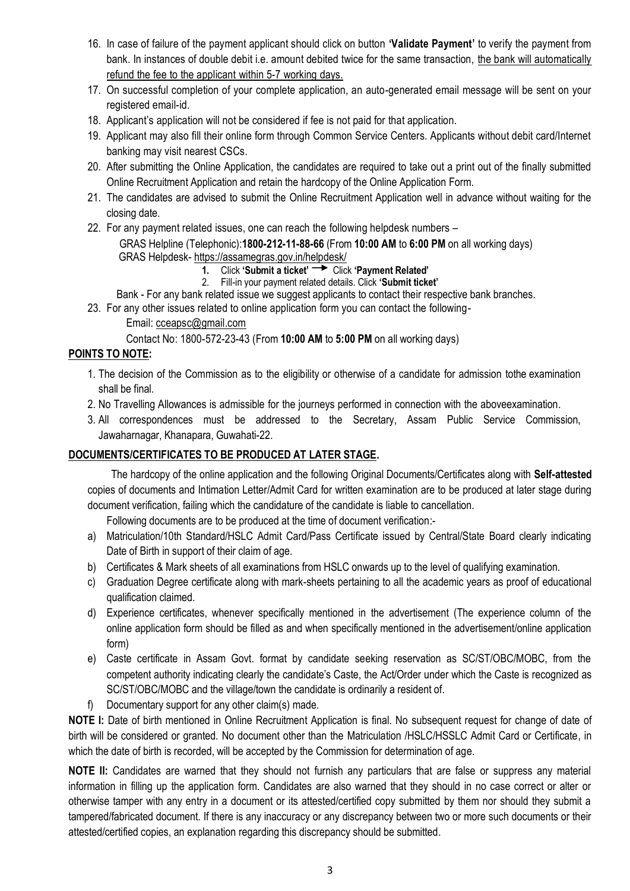- 16. In case of failure of the payment applicant should click on button **'Validate Payment'** to verify the payment from bank. In instances of double debit i.e. amount debited twice for the same transaction, the bank will automatically refund the fee to the applicant within 5-7 working days.
- 17. On successful completion of your complete application, an auto-generated email message will be sent on your registered email-id.
- 18. Applicant's application will not be considered if fee is not paid for that application.
- 19. Applicant may also fill their online form through Common Service Centers. Applicants without debit card/Internet banking may visit nearest CSCs.
- 20. After submitting the Online Application, the candidates are required to take out a print out of the finally submitted Online Recruitment Application and retain the hardcopy of the Online Application Form.
- 21. The candidates are advised to submit the Online Recruitment Application well in advance without waiting for the closing date.
- 22. For any payment related issues, one can reach the following helpdesk numbers GRAS Helpline (Telephonic):**1800-212-11-88-66** (From **10:00 AM** to **6:00 PM** on all working days) GRAS Helpdesk- <https://assamegras.gov.in/helpdesk/>
	- **1.** Click **'Submit a ticket'** Click **'Payment Related'**
	- 2. Fill-in your payment related details. Click **'Submit ticket'**
	- Bank For any bank related issue we suggest applicants to contact their respective bank branches.
	- 23. For any other issues related to online application form you can contact the following-
		- Email: [cceapsc@gmail.com](mailto:cceapsc@gmail.com)

Contact No: 1800-572-23-43 (From **10:00 AM** to **5:00 PM** on all working days)

#### **POINTS TO NOTE:**

- 1. The decision of the Commission as to the eligibility or otherwise of a candidate for admission tothe examination shall be final.
- 2. No Travelling Allowances is admissible for the journeys performed in connection with the aboveexamination.
- 3. All correspondences must be addressed to the Secretary, Assam Public Service Commission, Jawaharnagar, Khanapara, Guwahati-22.

#### **DOCUMENTS/CERTIFICATES TO BE PRODUCED AT LATER STAGE.**

 The hardcopy of the online application and the following Original Documents/Certificates along with **Self-attested** copies of documents and Intimation Letter/Admit Card for written examination are to be produced at later stage during document verification, failing which the candidature of the candidate is liable to cancellation.

Following documents are to be produced at the time of document verification:-

- a) Matriculation/10th Standard/HSLC Admit Card/Pass Certificate issued by Central/State Board clearly indicating Date of Birth in support of their claim of age.
- b) Certificates & Mark sheets of all examinations from HSLC onwards up to the level of qualifying examination.
- c) Graduation Degree certificate along with mark-sheets pertaining to all the academic years as proof of educational qualification claimed.
- d) Experience certificates, whenever specifically mentioned in the advertisement (The experience column of the online application form should be filled as and when specifically mentioned in the advertisement/online application form)
- e) Caste certificate in Assam Govt. format by candidate seeking reservation as SC/ST/OBC/MOBC, from the competent authority indicating clearly the candidate's Caste, the Act/Order under which the Caste is recognized as SC/ST/OBC/MOBC and the village/town the candidate is ordinarily a resident of.
- f) Documentary support for any other claim(s) made.

**NOTE I:** Date of birth mentioned in Online Recruitment Application is final. No subsequent request for change of date of birth will be considered or granted. No document other than the Matriculation /HSLC/HSSLC Admit Card or Certificate, in which the date of birth is recorded, will be accepted by the Commission for determination of age.

**NOTE II:** Candidates are warned that they should not furnish any particulars that are false or suppress any material information in filling up the application form. Candidates are also warned that they should in no case correct or alter or otherwise tamper with any entry in a document or its attested/certified copy submitted by them nor should they submit a tampered/fabricated document. If there is any inaccuracy or any discrepancy between two or more such documents or their attested/certified copies, an explanation regarding this discrepancy should be submitted.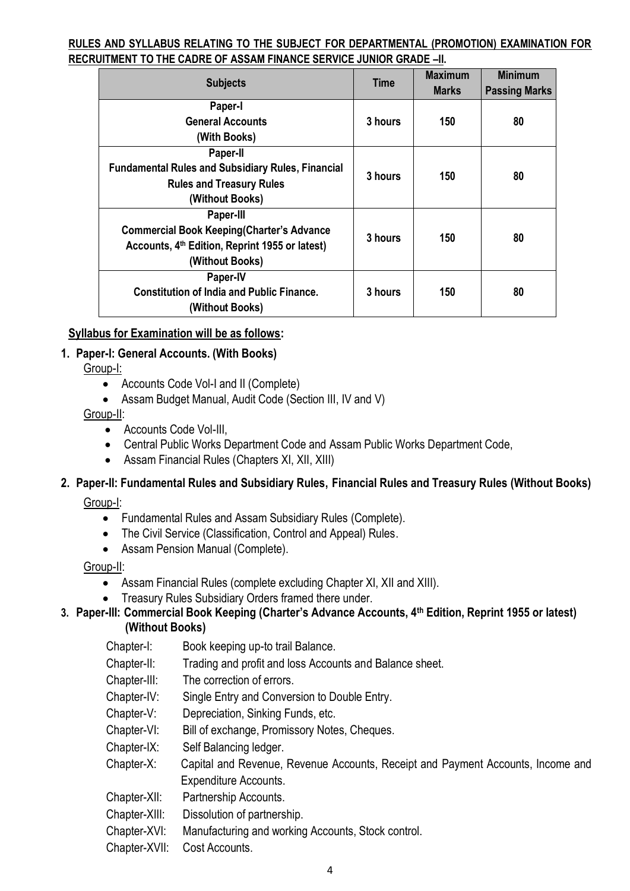#### **RULES AND SYLLABUS RELATING TO THE SUBJECT FOR DEPARTMENTAL (PROMOTION) EXAMINATION FOR RECRUITMENT TO THE CADRE OF ASSAM FINANCE SERVICE JUNIOR GRADE –II.**

| <b>Subjects</b>                                          | <b>Time</b> | <b>Maximum</b><br><b>Marks</b> | <b>Minimum</b><br><b>Passing Marks</b> |  |
|----------------------------------------------------------|-------------|--------------------------------|----------------------------------------|--|
| Paper-I                                                  |             |                                |                                        |  |
| <b>General Accounts</b>                                  | 3 hours     | 150                            | 80                                     |  |
| (With Books)                                             |             |                                |                                        |  |
| Paper-II                                                 |             |                                |                                        |  |
| <b>Fundamental Rules and Subsidiary Rules, Financial</b> | 3 hours     | 150                            | 80                                     |  |
| <b>Rules and Treasury Rules</b>                          |             |                                |                                        |  |
| (Without Books)                                          |             |                                |                                        |  |
| Paper-III                                                |             |                                |                                        |  |
| <b>Commercial Book Keeping (Charter's Advance</b>        | 3 hours     | 150                            | 80                                     |  |
| Accounts, 4th Edition, Reprint 1955 or latest)           |             |                                |                                        |  |
| (Without Books)                                          |             |                                |                                        |  |
| Paper-IV                                                 |             |                                |                                        |  |
| <b>Constitution of India and Public Finance.</b>         | 3 hours     | 150                            | 80                                     |  |
| (Without Books)                                          |             |                                |                                        |  |

#### **Syllabus for Examination will be as follows:**

#### **1. Paper-I: General Accounts. (With Books)**

Group-I:

- Accounts Code Vol-I and II (Complete)
- Assam Budget Manual, Audit Code (Section III, IV and V)

Group-II:

- Accounts Code Vol-III,
- Central Public Works Department Code and Assam Public Works Department Code,
- Assam Financial Rules (Chapters XI, XII, XIII)

## **2. Paper-II: Fundamental Rules and Subsidiary Rules, Financial Rules and Treasury Rules (Without Books)**

Group-I:

- Fundamental Rules and Assam Subsidiary Rules (Complete).
- The Civil Service (Classification, Control and Appeal) Rules.
- Assam Pension Manual (Complete).

#### Group-II:

- Assam Financial Rules (complete excluding Chapter XI, XII and XIII).
- Treasury Rules Subsidiary Orders framed there under.

## **3. Paper-III: Commercial Book Keeping (Charter's Advance Accounts, 4th Edition, Reprint 1955 or latest)**

#### **(Without Books)**

Chapter-I: Book keeping up-to trail Balance.

- Chapter-II: Trading and profit and loss Accounts and Balance sheet.
- Chapter-III: The correction of errors.
- Chapter-IV: Single Entry and Conversion to Double Entry.
- Chapter-V: Depreciation, Sinking Funds, etc.
- Chapter-VI: Bill of exchange, Promissory Notes, Cheques.
- Chapter-IX: Self Balancing ledger.
- Chapter-X: Capital and Revenue, Revenue Accounts, Receipt and Payment Accounts, Income and Expenditure Accounts.
- Chapter-XII: Partnership Accounts.
- Chapter-XIII: Dissolution of partnership.
- Chapter-XVI: Manufacturing and working Accounts, Stock control.
- Chapter-XVII: Cost Accounts.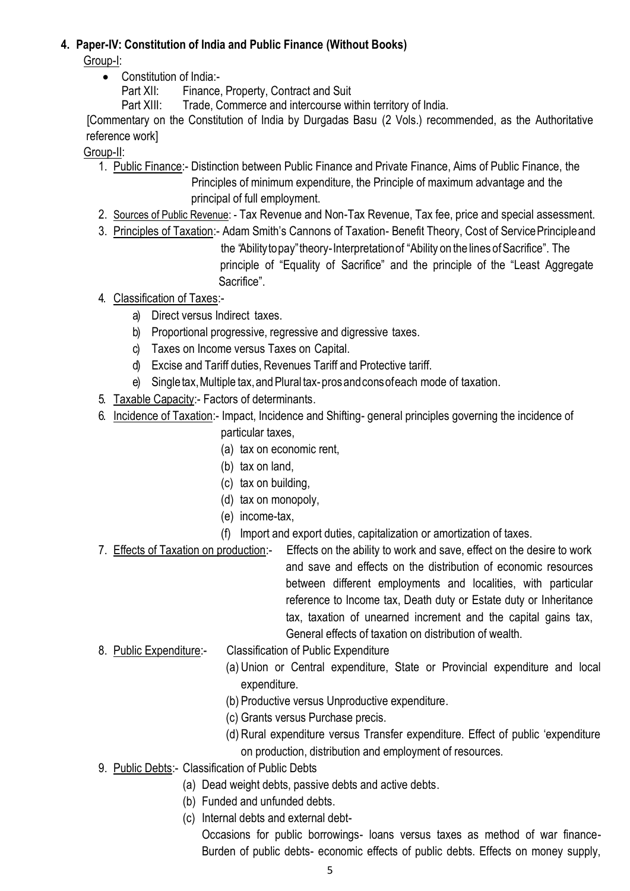#### **4. Paper-IV: Constitution of India and Public Finance (Without Books)**

Group-I:

• Constitution of India:-

Part XII: Finance, Property, Contract and Suit

Part XIII: Trade, Commerce and intercourse within territory of India.

[Commentary on the Constitution of India by Durgadas Basu (2 Vols.) recommended, as the Authoritative reference work]

Group-II:

- 1. Public Finance:- Distinction between Public Finance and Private Finance, Aims of Public Finance, the Principles of minimum expenditure, the Principle of maximum advantage and the principal of full employment.
- 2. Sources of Public Revenue: Tax Revenue and Non-Tax Revenue, Tax fee, price and special assessment.
- 3. Principles of Taxation:- Adam Smith's Cannons of Taxation- Benefit Theory, Cost of ServicePrincipleand the "Abilitytopay"theory-Interpretationof "Ability on the lines ofSacrifice". The principle of "Equality of Sacrifice" and the principle of the "Least Aggregate Sacrifice".
- 4. Classification of Taxes:
	- a) Direct versus Indirect taxes.
	- b) Proportional progressive, regressive and digressive taxes.
	- c) Taxes on Income versus Taxes on Capital.
	- d) Excise and Tariff duties, Revenues Tariff and Protective tariff.
	- e) Singletax, Multiple tax, and Plural tax-pros and cons of each mode of taxation.
- 5. Taxable Capacity:- Factors of determinants.
- 6. Incidence of Taxation:- Impact, Incidence and Shifting- general principles governing the incidence of particular taxes,
	- (a) tax on economic rent,
	- (b) tax on land,
	- (c) tax on building,
	- (d) tax on monopoly,
	- (e) income-tax,
	- (f) Import and export duties, capitalization or amortization of taxes.
- 7. Effects of Taxation on production:- Effects on the ability to work and save, effect on the desire to work and save and effects on the distribution of economic resources between different employments and localities, with particular reference to Income tax, Death duty or Estate duty or Inheritance tax, taxation of unearned increment and the capital gains tax, General effects of taxation on distribution of wealth.
- 8. Public Expenditure:- Classification of Public Expenditure
	- (a) Union or Central expenditure, State or Provincial expenditure and local expenditure.
	- (b) Productive versus Unproductive expenditure.
	- (c) Grants versus Purchase precis.
	- (d) Rural expenditure versus Transfer expenditure. Effect of public 'expenditure on production, distribution and employment of resources.
- 9. Public Debts:- Classification of Public Debts
	- (a) Dead weight debts, passive debts and active debts.
	- (b) Funded and unfunded debts.
	- (c) Internal debts and external debt-

Occasions for public borrowings- loans versus taxes as method of war finance-Burden of public debts- economic effects of public debts. Effects on money supply,